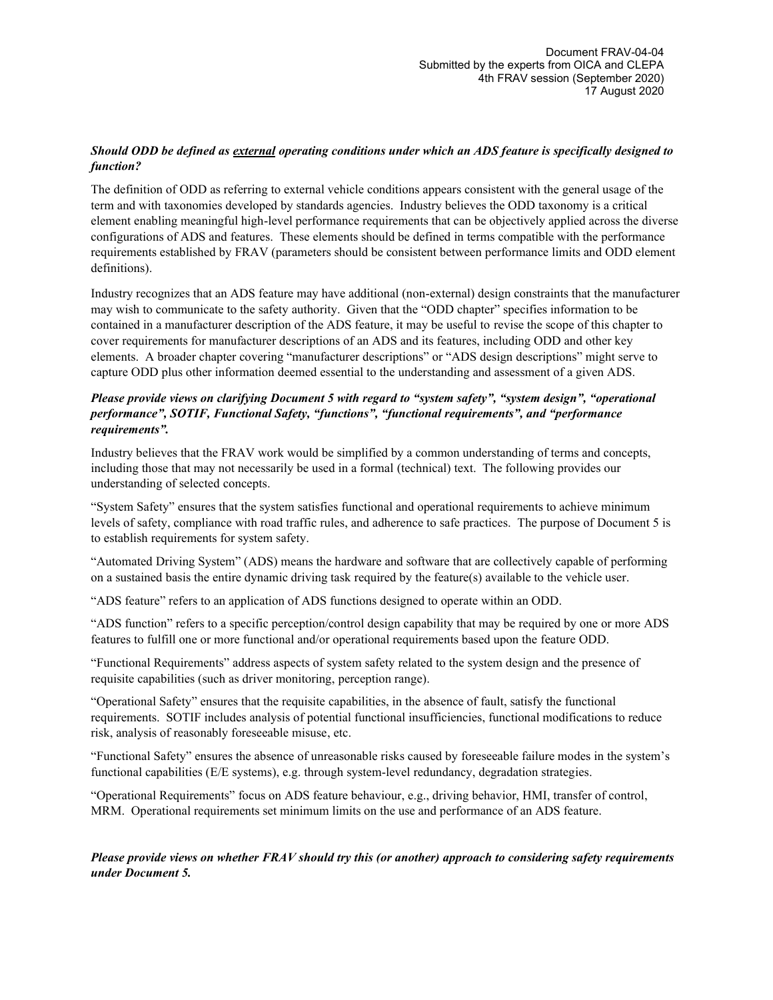## *Should ODD be defined as external operating conditions under which an ADS feature is specifically designed to function?*

The definition of ODD as referring to external vehicle conditions appears consistent with the general usage of the term and with taxonomies developed by standards agencies. Industry believes the ODD taxonomy is a critical element enabling meaningful high-level performance requirements that can be objectively applied across the diverse configurations of ADS and features. These elements should be defined in terms compatible with the performance requirements established by FRAV (parameters should be consistent between performance limits and ODD element definitions).

Industry recognizes that an ADS feature may have additional (non-external) design constraints that the manufacturer may wish to communicate to the safety authority. Given that the "ODD chapter" specifies information to be contained in a manufacturer description of the ADS feature, it may be useful to revise the scope of this chapter to cover requirements for manufacturer descriptions of an ADS and its features, including ODD and other key elements. A broader chapter covering "manufacturer descriptions" or "ADS design descriptions" might serve to capture ODD plus other information deemed essential to the understanding and assessment of a given ADS.

## *Please provide views on clarifying Document 5 with regard to "system safety", "system design", "operational performance", SOTIF, Functional Safety, "functions", "functional requirements", and "performance requirements".*

Industry believes that the FRAV work would be simplified by a common understanding of terms and concepts, including those that may not necessarily be used in a formal (technical) text. The following provides our understanding of selected concepts.

"System Safety" ensures that the system satisfies functional and operational requirements to achieve minimum levels of safety, compliance with road traffic rules, and adherence to safe practices. The purpose of Document 5 is to establish requirements for system safety.

"Automated Driving System" (ADS) means the hardware and software that are collectively capable of performing on a sustained basis the entire dynamic driving task required by the feature(s) available to the vehicle user.

"ADS feature" refers to an application of ADS functions designed to operate within an ODD.

"ADS function" refers to a specific perception/control design capability that may be required by one or more ADS features to fulfill one or more functional and/or operational requirements based upon the feature ODD.

"Functional Requirements" address aspects of system safety related to the system design and the presence of requisite capabilities (such as driver monitoring, perception range).

"Operational Safety" ensures that the requisite capabilities, in the absence of fault, satisfy the functional requirements. SOTIF includes analysis of potential functional insufficiencies, functional modifications to reduce risk, analysis of reasonably foreseeable misuse, etc.

"Functional Safety" ensures the absence of unreasonable risks caused by foreseeable failure modes in the system's functional capabilities (E/E systems), e.g. through system-level redundancy, degradation strategies.

"Operational Requirements" focus on ADS feature behaviour, e.g., driving behavior, HMI, transfer of control, MRM. Operational requirements set minimum limits on the use and performance of an ADS feature.

*Please provide views on whether FRAV should try this (or another) approach to considering safety requirements under Document 5.*